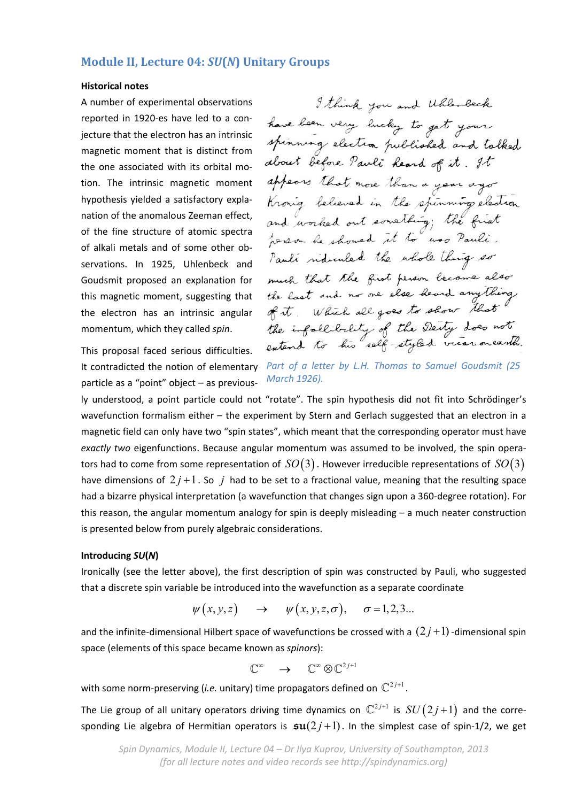# **Module II, Lecture 04:** *SU***(***N***) Unitary Groups**

## **Historical notes**

A number of experimental observations reported in 1920‐es have led to a con‐ jecture that the electron has an intrinsic magnetic moment that is distinct from the one associated with its orbital mo‐ tion. The intrinsic magnetic moment hypothesis yielded a satisfactory expla‐ nation of the anomalous Zeeman effect, of the fine structure of atomic spectra of alkali metals and of some other ob‐ servations. In 1925, Uhlenbeck and Goudsmit proposed an explanation for this magnetic moment, suggesting that the electron has an intrinsic angular momentum, which they called *spin*.

This proposal faced serious difficulties. particle as a "point" object – as previous‐

It contradicted the notion of elementary *Part of a letter by L.H. Thomas to Samuel Goudsmit (25 March 1926).*

ly understood, a point particle could not "rotate". The spin hypothesis did not fit into Schrödinger's wavefunction formalism either – the experiment by Stern and Gerlach suggested that an electron in a magnetic field can only have two "spin states", which meant that the corresponding operator must have *exactly two* eigenfunctions. Because angular momentum was assumed to be involved, the spin opera‐ tors had to come from some representation of  $SO(3)$ . However irreducible representations of  $SO(3)$ have dimensions of  $2j+1$ . So *j* had to be set to a fractional value, meaning that the resulting space had a bizarre physical interpretation (a wavefunction that changes sign upon a 360‐degree rotation). For this reason, the angular momentum analogy for spin is deeply misleading – a much neater construction is presented below from purely algebraic considerations.

## **Introducing** *SU***(***N***)**

Ironically (see the letter above), the first description of spin was constructed by Pauli, who suggested that a discrete spin variable be introduced into the wavefunction as a separate coordinate

$$
\psi(x, y, z) \rightarrow \psi(x, y, z, \sigma), \quad \sigma = 1, 2, 3...
$$

and the infinite-dimensional Hilbert space of wavefunctions be crossed with a  $(2 i+1)$  -dimensional spin space (elements of this space became known as *spinors*):

$$
\mathbb{C}^{\infty} \quad \rightarrow \quad \mathbb{C}^{\infty} \otimes \mathbb{C}^{2j+1}
$$

with some norm-preserving (*i.e.* unitary) time propagators defined on  $\mathbb{C}^{2j+1}$ .

The Lie group of all unitary operators driving time dynamics on  $\mathbb{C}^{2j+1}$  is  $SU(2j+1)$  and the corresponding Lie algebra of Hermitian operators is  $\mathfrak{su}(2j+1)$ . In the simplest case of spin-1/2, we get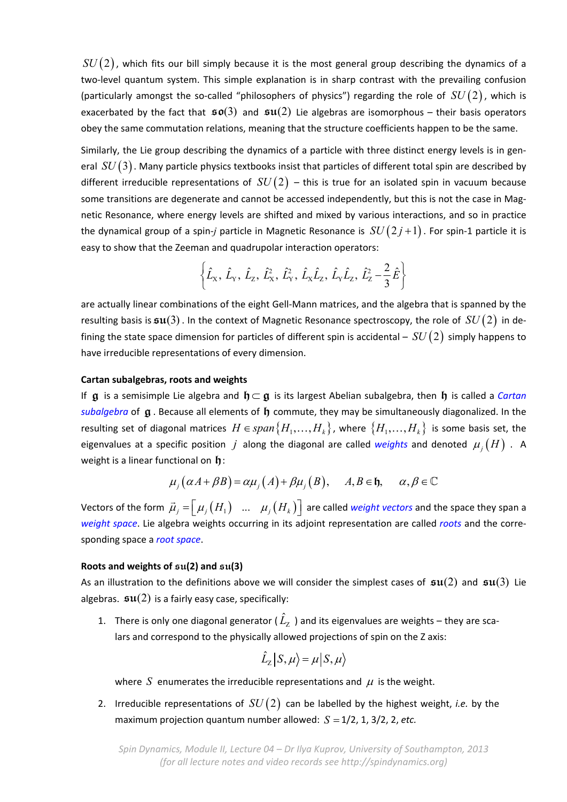$SU(2)$ , which fits our bill simply because it is the most general group describing the dynamics of a two-level quantum system. This simple explanation is in sharp contrast with the prevailing confusion (particularly amongst the so-called "philosophers of physics") regarding the role of  $SU(2)$ , which is exacerbated by the fact that **so**(3) and **su**(2) Lie algebras are isomorphous – their basis operators obey the same commutation relations, meaning that the structure coefficients happen to be the same.

Similarly, the Lie group describing the dynamics of a particle with three distinct energy levels is in gen‐ eral  $SU(3)$ . Many particle physics textbooks insist that particles of different total spin are described by different irreducible representations of  $SU(2)$  – this is true for an isolated spin in vacuum because some transitions are degenerate and cannot be accessed independently, but this is not the case in Magnetic Resonance, where energy levels are shifted and mixed by various interactions, and so in practice the dynamical group of a spin-*j* particle in Magnetic Resonance is  $SU(2j+1)$ . For spin-1 particle it is easy to show that the Zeeman and quadrupolar interaction operators:

$$
\left\{ \hat{L}_x, \ \hat{L}_y, \ \hat{L}_z, \ \hat{L}_x^2, \ \hat{L}_y^2, \ \hat{L}_x \hat{L}_z, \ \hat{L}_y \hat{L}_z, \ \hat{L}_z^2 - \frac{2}{3} \hat{E} \right\}
$$

are actually linear combinations of the eight Gell-Mann matrices, and the algebra that is spanned by the resulting basis is  $\mathfrak{su}(3)$ . In the context of Magnetic Resonance spectroscopy, the role of  $SU(2)$  in defining the state space dimension for particles of different spin is accidental –  $SU(2)$  simply happens to have irreducible representations of every dimension.

## **Cartan subalgebras, roots and weights**

If **g** is a semisimple Lie algebra and **h g** is its largest Abelian subalgebra, then **h** is called a *Cartan subalgebra* of **g** . Because all elements of **h** commute, they may be simultaneously diagonalized. In the resulting set of diagonal matrices  $H \in span{H_1, ..., H_k}$ , where  ${H_1, ..., H_k}$  is some basis set, the eigenvalues at a specific position *j* along the diagonal are called *weights* and denoted  $\mu_i(H)$ . A weight is a linear functional on **h**:

$$
\mu_j(\alpha A + \beta B) = \alpha \mu_j(A) + \beta \mu_j(B), \quad A, B \in \mathfrak{h}, \quad \alpha, \beta \in \mathbb{C}
$$

Vectors of the form  $\vec{\mu}_j = \begin{bmatrix} \mu_j\big(H_1\big) & ... & \mu_j\big(H_k\big) \end{bmatrix}$  are called *weight vectors* and the space they span a *weight space*. Lie algebra weights occurring in its adjoint representation are called *roots* and the corre‐ sponding space a *root space*.

## **Roots and weights of su(2) and su(3)**

As an illustration to the definitions above we will consider the simplest cases of **su**(2) and **su**(3) Lie algebras.  $\mathfrak{su}(2)$  is a fairly easy case, specifically:

1. There is only one diagonal generator ( $\hat{L}_7$ ) and its eigenvalues are weights – they are scalars and correspond to the physically allowed projections of spin on the Z axis:

$$
\hat{L}_{Z}|S,\mu\rangle = \mu|S,\mu\rangle
$$

where *S* enumerates the irreducible representations and  $\mu$  is the weight.

2. Irreducible representations of  $SU(2)$  can be labelled by the highest weight, *i.e.* by the maximum projection quantum number allowed:  $S = 1/2$ , 1, 3/2, 2, *etc.*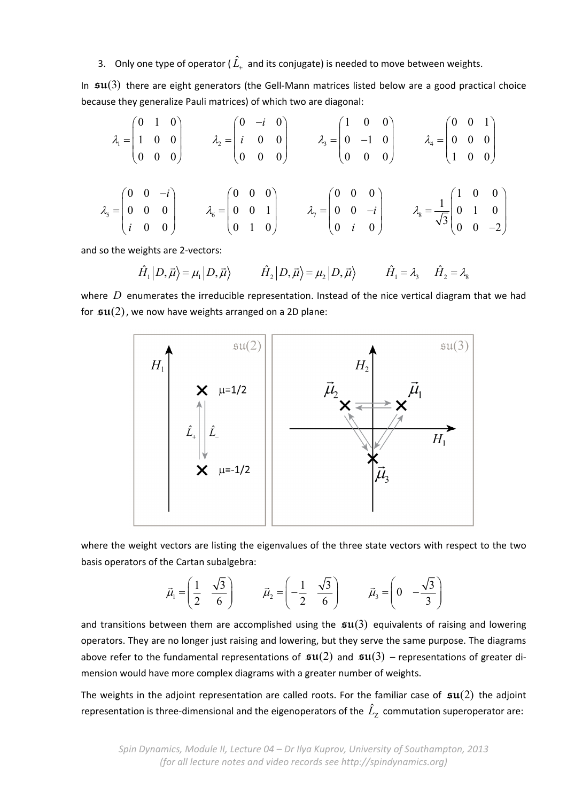3. Only one type of operator (  $\hat{L}_{\scriptscriptstyle +}$  and its conjugate) is needed to move between weights.

In **su**(3) there are eight generators (the Gell‐Mann matrices listed below are a good practical choice because they generalize Pauli matrices) of which two are diagonal:

$$
\lambda_1 = \begin{pmatrix} 0 & 1 & 0 \\ 1 & 0 & 0 \\ 0 & 0 & 0 \end{pmatrix} \qquad \lambda_2 = \begin{pmatrix} 0 & -i & 0 \\ i & 0 & 0 \\ 0 & 0 & 0 \end{pmatrix} \qquad \lambda_3 = \begin{pmatrix} 1 & 0 & 0 \\ 0 & -1 & 0 \\ 0 & 0 & 0 \end{pmatrix} \qquad \lambda_4 = \begin{pmatrix} 0 & 0 & 1 \\ 0 & 0 & 0 \\ 1 & 0 & 0 \end{pmatrix}
$$

$$
\lambda_5 = \begin{pmatrix} 0 & 0 & -i \\ 0 & 0 & 0 \\ i & 0 & 0 \end{pmatrix} \qquad \lambda_6 = \begin{pmatrix} 0 & 0 & 0 \\ 0 & 0 & 1 \\ 0 & 1 & 0 \end{pmatrix} \qquad \lambda_7 = \begin{pmatrix} 0 & 0 & 0 \\ 0 & 0 & -i \\ 0 & i & 0 \end{pmatrix} \qquad \lambda_8 = \frac{1}{\sqrt{3}} \begin{pmatrix} 1 & 0 & 0 \\ 0 & 1 & 0 \\ 0 & 0 & -2 \end{pmatrix}
$$

and so the weights are 2‐vectors:

$$
\hat{H}_1|D,\vec{\mu}\rangle = \mu_1|D,\vec{\mu}\rangle \qquad \hat{H}_2|D,\vec{\mu}\rangle = \mu_2|D,\vec{\mu}\rangle \qquad \hat{H}_1 = \lambda_3 \qquad \hat{H}_2 = \lambda_8
$$

where *D* enumerates the irreducible representation. Instead of the nice vertical diagram that we had for **su**(2), we now have weights arranged on a 2D plane:



where the weight vectors are listing the eigenvalues of the three state vectors with respect to the two basis operators of the Cartan subalgebra:

$$
\vec{\mu}_1 = \begin{pmatrix} \frac{1}{2} & \frac{\sqrt{3}}{6} \end{pmatrix} \qquad \vec{\mu}_2 = \begin{pmatrix} -\frac{1}{2} & \frac{\sqrt{3}}{6} \end{pmatrix} \qquad \vec{\mu}_3 = \begin{pmatrix} 0 & -\frac{\sqrt{3}}{3} \end{pmatrix}
$$

and transitions between them are accomplished using the **su**(3) equivalents of raising and lowering operators. They are no longer just raising and lowering, but they serve the same purpose. The diagrams above refer to the fundamental representations of  $\mathfrak{su}(2)$  and  $\mathfrak{su}(3)$  – representations of greater dimension would have more complex diagrams with a greater number of weights.

The weights in the adjoint representation are called roots. For the familiar case of **su**(2) the adjoint representation is three-dimensional and the eigenoperators of the  $\hat{L}_z$  commutation superoperator are: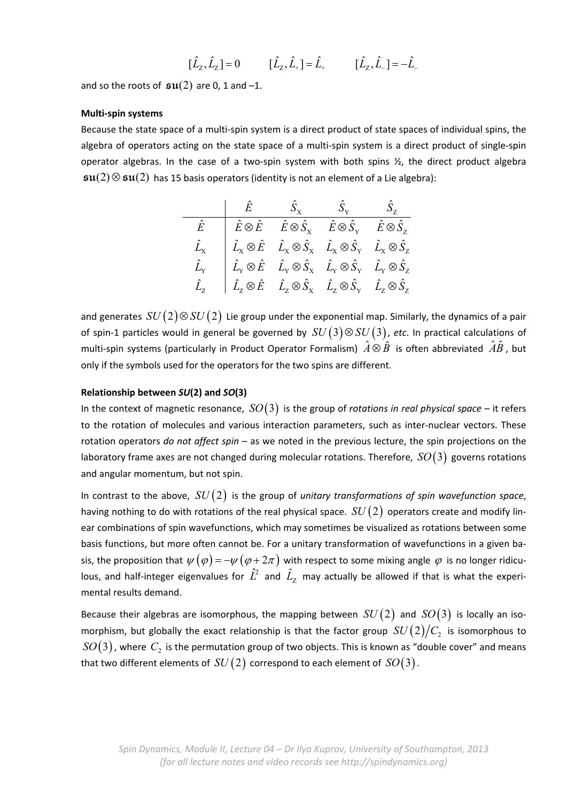$$
[\hat{L}_z, \hat{L}_z] = 0 \qquad [\hat{L}_z, \hat{L}_+] = \hat{L}_+ \qquad [\hat{L}_z, \hat{L}_-] = -\hat{L}_-
$$

and so the roots of  $\mathfrak{su}(2)$  are 0, 1 and -1.

## **Multi‐spin systems**

Because the state space of a multi‐spin system is a direct product of state spaces of individual spins, the algebra of operators acting on the state space of a multi-spin system is a direct product of single-spin operator algebras. In the case of a two-spin system with both spins  $\frac{1}{2}$ , the direct product algebra  $\mathfrak{su}(2)\otimes \mathfrak{su}(2)$  has 15 basis operators (identity is not an element of a Lie algebra):

|                   | $\hat{E}$ $\hat{S}_{\rm x}$ $\hat{S}_{\rm y}$ $\hat{S}_{\rm z}$                                                                                                                                                                                                                                                                                      |  |
|-------------------|------------------------------------------------------------------------------------------------------------------------------------------------------------------------------------------------------------------------------------------------------------------------------------------------------------------------------------------------------|--|
|                   | $\hat{E}$ $\hat{E} \otimes \hat{E}$ $\hat{E} \otimes \overline{\hat{S}_X}$ $\hat{E} \otimes \hat{S}_Y$ $\hat{E} \otimes \hat{S}_Z$                                                                                                                                                                                                                   |  |
| $\hat{L}_{\rm v}$ | $\begin{array}{ccc} \mid & \hat{L}_{\scriptscriptstyle {\rm X}}\otimes \hat{E} & \hat{L}_{\scriptscriptstyle {\rm X}}\otimes \hat{S}_{\scriptscriptstyle {\rm X}} & \hat{L}_{\scriptscriptstyle {\rm X}}\otimes \hat{S}_{\scriptscriptstyle {\rm Y}} & \hat{L}_{\scriptscriptstyle {\rm X}}\otimes \hat{S}_{\scriptscriptstyle {\rm Z}} \end{array}$ |  |
|                   | $\left  \begin{array}{ccc} \hat{L}_{\rm Y}\otimes \hat{E} & \hat{L}_{\rm Y}\otimes \hat{S}_{\rm X} & \hat{L}_{\rm Y}\otimes \hat{S}_{\rm Y} & \hat{L}_{\rm Y}\otimes \hat{S}_{\rm Z} \end{array} \right.$                                                                                                                                            |  |
| $\hat{L}_{\tau}$  | $\hat{L}_z \otimes \hat{E} \quad \hat{L}_z \otimes \hat{S}_x \quad \hat{L}_z \otimes \hat{S}_y \quad \hat{L}_z \otimes \hat{S}_z$                                                                                                                                                                                                                    |  |

and generates  $SU(2) \otimes SU(2)$  Lie group under the exponential map. Similarly, the dynamics of a pair of spin-1 particles would in general be governed by  $SU(3) \otimes SU(3)$ , etc. In practical calculations of multi-spin systems (particularly in Product Operator Formalism)  $\hat{A}\otimes\hat{B}$  is often abbreviated  $\hat{A}\hat{B}$ , but only if the symbols used for the operators for the two spins are different.

## **Relationship between** *SU***(2) and** *SO***(3)**

In the context of magnetic resonance,  $SO(3)$  is the group of *rotations in real physical space* – it refers to the rotation of molecules and various interaction parameters, such as inter-nuclear vectors. These rotation operators *do not affect spin* – as we noted in the previous lecture, the spin projections on the laboratory frame axes are not changed during molecular rotations. Therefore,  $SO(3)$  governs rotations and angular momentum, but not spin.

In contrast to the above, *SU* 2 is the group of *unitary transformations of spin wavefunction space*, having nothing to do with rotations of the real physical space.  $SU(2)$  operators create and modify linear combinations of spin wavefunctions, which may sometimes be visualized as rotations between some basis functions, but more often cannot be. For a unitary transformation of wavefunctions in a given ba‐ sis, the proposition that  $\psi(\varphi) = -\psi(\varphi + 2\pi)$  with respect to some mixing angle  $\varphi$  is no longer ridiculous, and half-integer eigenvalues for  $\hat{L}^2$  and  $\hat{L}_z$  may actually be allowed if that is what the experimental results demand.

Because their algebras are isomorphous, the mapping between  $SU(2)$  and  $SO(3)$  is locally an isomorphism, but globally the exact relationship is that the factor group  $SU(2)/C_2$  is isomorphous to  $SO(3)$ , where  $C_2$  is the permutation group of two objects. This is known as "double cover" and means that two different elements of  $SU(2)$  correspond to each element of  $SO(3)$  .